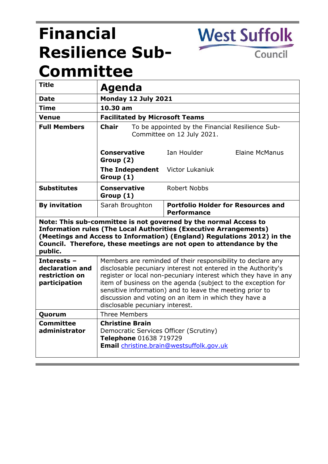# **Financial Resilience Sub-Committee**

Council

**West Suffolk** 

| <b>Title</b>                                                                                                                                                                                                                                                                                               | Agenda                                                                                                                                                                                                                                                                                                                                                                                                                  |                                                                 |
|------------------------------------------------------------------------------------------------------------------------------------------------------------------------------------------------------------------------------------------------------------------------------------------------------------|-------------------------------------------------------------------------------------------------------------------------------------------------------------------------------------------------------------------------------------------------------------------------------------------------------------------------------------------------------------------------------------------------------------------------|-----------------------------------------------------------------|
| Date                                                                                                                                                                                                                                                                                                       | Monday 12 July 2021                                                                                                                                                                                                                                                                                                                                                                                                     |                                                                 |
| <b>Time</b>                                                                                                                                                                                                                                                                                                | 10.30 am                                                                                                                                                                                                                                                                                                                                                                                                                |                                                                 |
| <b>Venue</b>                                                                                                                                                                                                                                                                                               | <b>Facilitated by Microsoft Teams</b>                                                                                                                                                                                                                                                                                                                                                                                   |                                                                 |
| <b>Full Members</b>                                                                                                                                                                                                                                                                                        | <b>Chair</b><br>To be appointed by the Financial Resilience Sub-<br>Committee on 12 July 2021.                                                                                                                                                                                                                                                                                                                          |                                                                 |
|                                                                                                                                                                                                                                                                                                            | <b>Conservative</b><br>Group (2)                                                                                                                                                                                                                                                                                                                                                                                        | <b>Elaine McManus</b><br>Tan Houlder                            |
|                                                                                                                                                                                                                                                                                                            | <b>The Independent</b><br>Group (1)                                                                                                                                                                                                                                                                                                                                                                                     | Victor Lukaniuk                                                 |
| <b>Substitutes</b>                                                                                                                                                                                                                                                                                         | Conservative<br>Group (1)                                                                                                                                                                                                                                                                                                                                                                                               | Robert Nobbs                                                    |
| <b>By invitation</b>                                                                                                                                                                                                                                                                                       | Sarah Broughton                                                                                                                                                                                                                                                                                                                                                                                                         | <b>Portfolio Holder for Resources and</b><br><b>Performance</b> |
| Note: This sub-committee is not governed by the normal Access to<br><b>Information rules (The Local Authorities (Executive Arrangements)</b><br>(Meetings and Access to Information) (England) Regulations 2012) in the<br>Council. Therefore, these meetings are not open to attendance by the<br>public. |                                                                                                                                                                                                                                                                                                                                                                                                                         |                                                                 |
| Interests -<br>declaration and<br>restriction on<br>participation                                                                                                                                                                                                                                          | Members are reminded of their responsibility to declare any<br>disclosable pecuniary interest not entered in the Authority's<br>register or local non-pecuniary interest which they have in any<br>item of business on the agenda (subject to the exception for<br>sensitive information) and to leave the meeting prior to<br>discussion and voting on an item in which they have a<br>disclosable pecuniary interest. |                                                                 |
| Quorum                                                                                                                                                                                                                                                                                                     | <b>Three Members</b>                                                                                                                                                                                                                                                                                                                                                                                                    |                                                                 |
| <b>Committee</b><br>administrator                                                                                                                                                                                                                                                                          | <b>Christine Brain</b><br>Democratic Services Officer (Scrutiny)<br>Telephone 01638 719729<br>Email christine.brain@westsuffolk.gov.uk                                                                                                                                                                                                                                                                                  |                                                                 |